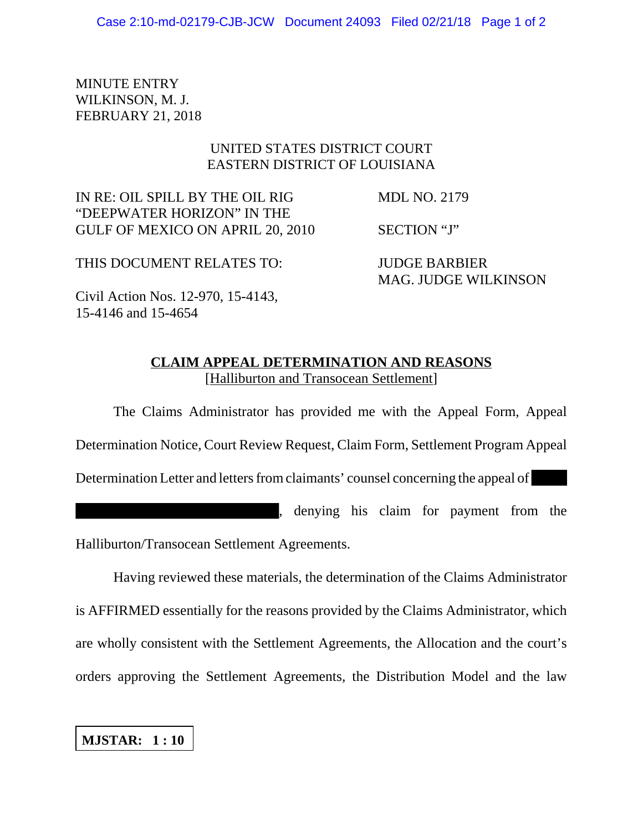MINUTE ENTRY WILKINSON, M. J. FEBRUARY 21, 2018

## UNITED STATES DISTRICT COURT EASTERN DISTRICT OF LOUISIANA

IN RE: OIL SPILL BY THE OIL RIG MDL NO. 2179 "DEEPWATER HORIZON" IN THE GULF OF MEXICO ON APRIL 20, 2010 SECTION "J"

THIS DOCUMENT RELATES TO: JUDGE BARBIER

MAG. JUDGE WILKINSON

Civil Action Nos. 12-970, 15-4143, 15-4146 and 15-4654

## **CLAIM APPEAL DETERMINATION AND REASONS** [Halliburton and Transocean Settlement]

The Claims Administrator has provided me with the Appeal Form, Appeal Determination Notice, Court Review Request, Claim Form, Settlement Program Appeal Determination Letter and letters from claimants' counsel concerning the appeal of , denying his claim for payment from the Halliburton/Transocean Settlement Agreements.

Having reviewed these materials, the determination of the Claims Administrator is AFFIRMED essentially for the reasons provided by the Claims Administrator, which are wholly consistent with the Settlement Agreements, the Allocation and the court's orders approving the Settlement Agreements, the Distribution Model and the law

**MJSTAR: 1 : 10**